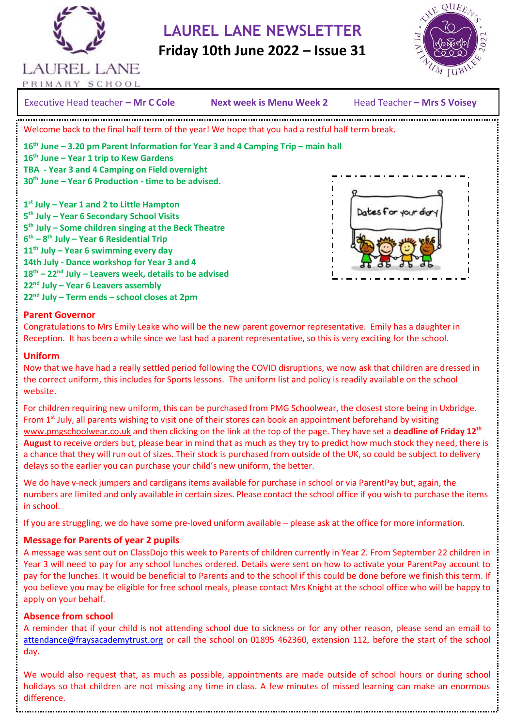

 **LAUREL LANE NEWSLETTER**

 **Friday 10th June 2022 – Issue 31**



PRIMARY SCHOOL

Executive Head teacher – **Mr C Cole Mext week is Menu Week 2** Head Teacher – Mrs S Voisey Next week is Menu Week 2 Head Teacher - Mrs S Voisev 2016 Welcome back to the final half term of the year! We hope that you had a restful half term break. **16th June – 3.20 pm Parent Information for Year 3 and 4 Camping Trip – main hall 16th June – Year 1 trip to Kew Gardens TBA - Year 3 and 4 Camping on Field overnight 30th June – Year 6 Production - time to be advised. 1 st July – Year 1 and 2 to Little Hampton** Dates for your di **5 th July – Year 6 Secondary School Visits 5 th July – Some children singing at the Beck Theatre 6 th – 8 th July – Year 6 Residential Trip 11th July – Year 6 swimming every day 14th July - Dance workshop for Year 3 and 4 18th – 22nd July – Leavers week, details to be advised 22nd July – Year 6 Leavers assembly**

#### **Parent Governor**

**22nd July – Term ends – school closes at 2pm**

Congratulations to Mrs Emily Leake who will be the new parent governor representative. Emily has a daughter in Reception. It has been a while since we last had a parent representative, so this is very exciting for the school.

#### **Uniform**

Now that we have had a really settled period following the COVID disruptions, we now ask that children are dressed in the correct uniform, this includes for Sports lessons. The uniform list and policy is readily available on the school website.

For children requiring new uniform, this can be purchased from PMG Schoolwear, the closest store being in Uxbridge. From 1<sup>st</sup> July, all parents wishing to visit one of their stores can book an appointment beforehand by visiting [www.pmgschoolwear.co.uk](http://www.pmgschoolwear.co.uk/) and then clicking on the link at the top of the page. They have set a **deadline of Friday 12th August** to receive orders but, please bear in mind that as much as they try to predict how much stock they need, there is a chance that they will run out of sizes. Their stock is purchased from outside of the UK, so could be subject to delivery delays so the earlier you can purchase your child's new uniform, the better.

We do have v-neck jumpers and cardigans items available for purchase in school or via ParentPay but, again, the numbers are limited and only available in certain sizes. Please contact the school office if you wish to purchase the items in school.

If you are struggling, we do have some pre-loved uniform available – please ask at the office for more information.

#### **Message for Parents of year 2 pupils**

A message was sent out on ClassDojo this week to Parents of children currently in Year 2. From September 22 children in Year 3 will need to pay for any school lunches ordered. Details were sent on how to activate your ParentPay account to pay for the lunches. It would be beneficial to Parents and to the school if this could be done before we finish this term. If you believe you may be eligible for free school meals, please contact Mrs Knight at the school office who will be happy to apply on your behalf.

#### **Absence from school**

A reminder that if your child is not attending school due to sickness or for any other reason, please send an email to [attendance@fraysacademytrust.org](mailto:attendance@fraysacademytrust.org) or call the school on 01895 462360, extension 112, before the start of the school day.

We would also request that, as much as possible, appointments are made outside of school hours or during school holidays so that children are not missing any time in class. A few minutes of missed learning can make an enormous difference.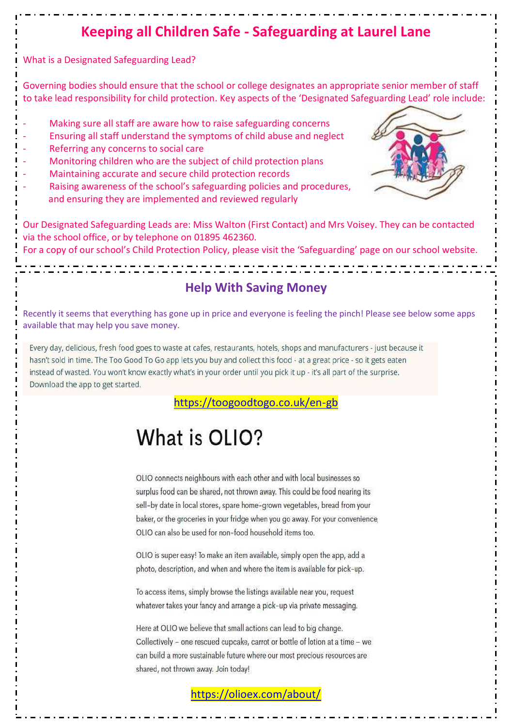## **Keeping all Children Safe - Safeguarding at Laurel Lane**

What is a Designated Safeguarding Lead?

Governing bodies should ensure that the school or college designates an appropriate senior member of staff to take lead responsibility for child protection. Key aspects of the 'Designated Safeguarding Lead' role include:

- Making sure all staff are aware how to raise safeguarding concerns
- Ensuring all staff understand the symptoms of child abuse and neglect
- Referring any concerns to social care
- Monitoring children who are the subject of child protection plans
- Maintaining accurate and secure child protection records
- Raising awareness of the school's safeguarding policies and procedures, and ensuring they are implemented and reviewed regularly



Our Designated Safeguarding Leads are: Miss Walton (First Contact) and Mrs Voisey. They can be contacted via the school office, or by telephone on 01895 462360.

For a copy of our school's Child Protection Policy, please visit the 'Safeguarding' page on our school website.

### **Help With Saving Money**

Recently it seems that everything has gone up in price and everyone is feeling the pinch! Please see below some apps available that may help you save money.

Every day, delicious, fresh food goes to waste at cafes, restaurants, hotels, shops and manufacturers - just because it hasn't sold in time. The Too Good To Go app lets you buy and collect this food - at a great price - so it gets eaten instead of wasted. You won't know exactly what's in your order until you pick it up - it's all part of the surprise. Download the app to get started.

<https://toogoodtogo.co.uk/en-gb>

# What is OLIO?

OLIO connects neighbours with each other and with local businesses so surplus food can be shared, not thrown away. This could be food nearing its sell-by date in local stores, spare home-grown vegetables, bread from your baker, or the groceries in your fridge when you go away. For your convenience, OLIO can also be used for non-food household items too.

OLIO is super easy! To make an item available, simply open the app, add a photo, description, and when and where the item is available for pick-up.

To access items, simply browse the listings available near you, request whatever takes your fancy and arrange a pick-up via private messaging.

Here at OLIO we believe that small actions can lead to big change. Collectively - one rescued cupcake, carrot or bottle of lotion at a time - we can build a more sustainable future where our most precious resources are shared, not thrown away. Join today!

<https://olioex.com/about/>